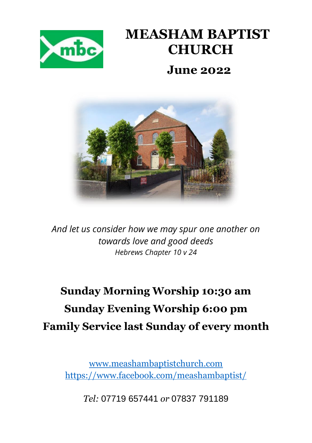

# **MEASHAM BAPTIST CHURCH**

#### **June 2022**



*And let us consider how we may spur one another on towards love and good deeds Hebrews Chapter 10 v 24*

### **Sunday Morning Worship 10:30 am Sunday Evening Worship 6:00 pm Family Service last Sunday of every month**

[www.meashambaptistchurch.com](http://www.meashambaptistchurch.com/) <https://www.facebook.com/meashambaptist/>

*Tel:* 07719 657441 *or* 07837 791189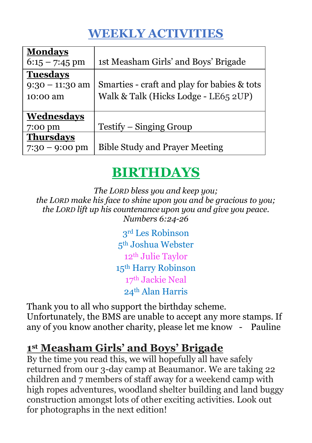### **WEEKLY ACTIVITIES**

| <b>Mondays</b><br>$6:15 - 7:45$ pm | 1st Measham Girls' and Boys' Brigade        |
|------------------------------------|---------------------------------------------|
| <b>Tuesdays</b>                    |                                             |
| $9:30 - 11:30$ am                  | Smarties - craft and play for babies & tots |
| 10:00 am                           | Walk & Talk (Hicks Lodge - LE65 2UP)        |
|                                    |                                             |
| Wednesdays                         |                                             |
| 7:00 pm                            | Testify – Singing Group                     |
| <b>Thursdays</b>                   |                                             |
| $7:30 - 9:00 \text{ pm}$           | <b>Bible Study and Prayer Meeting</b>       |

### **BIRTHDAYS**

*The LORD bless you and keep you; the LORD make his face to shine upon you and be gracious to you; the LORD lift up his countenance upon you and give you peace. Numbers 6:24-26*

> rd Les Robinson th Joshua Webster th Julie Taylor th Harry Robinson th Jackie Neal th Alan Harris

Thank you to all who support the birthday scheme. Unfortunately, the BMS are unable to accept any more stamps. If any of you know another charity, please let me know - Pauline

#### **1 st Measham Girls' and Boys' Brigade**

By the time you read this, we will hopefully all have safely returned from our 3-day camp at Beaumanor. We are taking 22 children and 7 members of staff away for a weekend camp with high ropes adventures, woodland shelter building and land buggy construction amongst lots of other exciting activities. Look out for photographs in the next edition!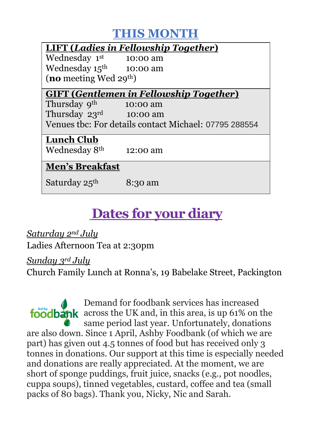#### **THIS MONTH**

| <b>LIFT (Ladies in Fellowship Together)</b>           |          |  |  |  |  |
|-------------------------------------------------------|----------|--|--|--|--|
| Wednesday 1st                                         | 10:00 am |  |  |  |  |
| Wednesday $15^{\text{th}}$ 10:00 am                   |          |  |  |  |  |
| (no meeting Wed $29th$ )                              |          |  |  |  |  |
| <b>GIFT (Gentlemen in Fellowship Together)</b>        |          |  |  |  |  |
| Thursday 9 <sup>th</sup>                              | 10:00 am |  |  |  |  |
| Thursday $23^{\text{rd}}$ 10:00 am                    |          |  |  |  |  |
| Venues thc: For details contact Michael: 07795 288554 |          |  |  |  |  |
| <b>Lunch Club</b>                                     |          |  |  |  |  |
| Wednesday 8 <sup>th</sup>                             | 12:00 am |  |  |  |  |
| <b>Men's Breakfast</b>                                |          |  |  |  |  |
| Saturday 25 <sup>th</sup>                             | 8:30 am  |  |  |  |  |

## **Dates for your diary**

*Saturday 2nd July* Ladies Afternoon Tea at 2:30pm

*Sunday 3rd July*

Church Family Lunch at Ronna's, 19 Babelake Street, Packington

Demand for foodbank services has increased foodbank across the UK and, in this area, is up 61% on the same period last year. Unfortunately, donations are also down. Since 1 April, Ashby Foodbank (of which we are part) has given out 4.5 tonnes of food but has received only 3 tonnes in donations. Our support at this time is especially needed and donations are really appreciated. At the moment, we are short of sponge puddings, fruit juice, snacks (e.g., pot noodles, cuppa soups), tinned vegetables, custard, coffee and tea (small packs of 80 bags). Thank you, Nicky, Nic and Sarah.